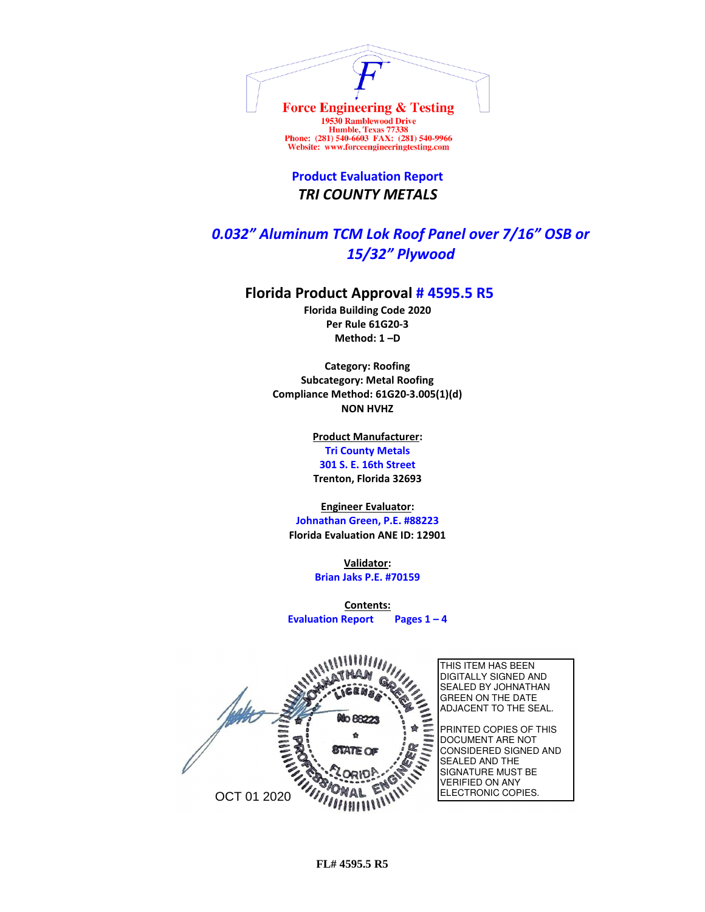

Humble, Texas 77338<br>Phone: (281) 540-6603 FAX: (281) 540-9966 Website: www.forceengineeringtesting.com

**Product Evaluation Report** *TRI COUNTY METALS*

## *0.032" Aluminum TCM Lok Roof Panel over 7/16" OSB or 15/32" Plywood*

## **Florida Product Approval # 4595.5 R5**

**Florida Building Code 2020 Per Rule 61G20-3 Method: 1 –D** 

**Category: Roofing Subcategory: Metal Roofing Compliance Method: 61G20-3.005(1)(d) NON HVHZ**

> **Product Manufacturer: Tri County Metals 301 S. E. 16th Street Trenton, Florida 32693**

**Engineer Evaluator: Johnathan Green, P.E. #88223 Florida Evaluation ANE ID: 12901**

> **Validator: Brian Jaks P.E. #70159**

**Contents: Evaluation Report Pages 1 – 4**

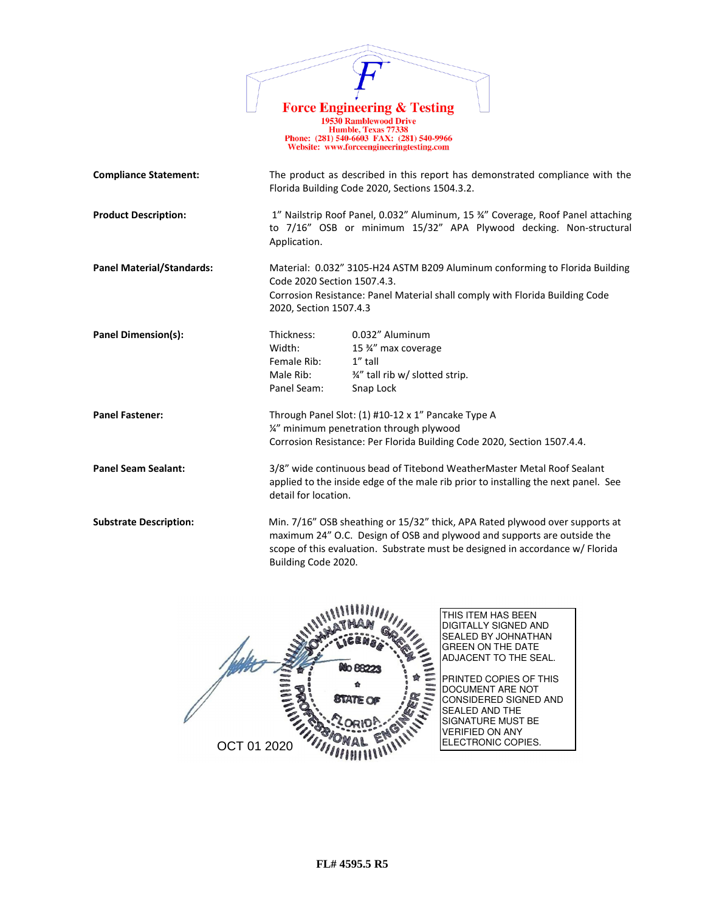|                                  | <b>Force Engineering &amp; Testing</b><br><b>19530 Ramblewood Drive</b><br>Humble, Texas 77338<br>Phone: (281) 540-6603 FAX: (281) 540-9966<br>Website: www.forceengineeringtesting.com                                                                         |  |
|----------------------------------|-----------------------------------------------------------------------------------------------------------------------------------------------------------------------------------------------------------------------------------------------------------------|--|
| <b>Compliance Statement:</b>     | The product as described in this report has demonstrated compliance with the<br>Florida Building Code 2020, Sections 1504.3.2.                                                                                                                                  |  |
| <b>Product Description:</b>      | 1" Nailstrip Roof Panel, 0.032" Aluminum, 15 34" Coverage, Roof Panel attaching<br>to 7/16" OSB or minimum 15/32" APA Plywood decking. Non-structural<br>Application.                                                                                           |  |
| <b>Panel Material/Standards:</b> | Material: 0.032" 3105-H24 ASTM B209 Aluminum conforming to Florida Building<br>Code 2020 Section 1507.4.3.<br>Corrosion Resistance: Panel Material shall comply with Florida Building Code<br>2020, Section 1507.4.3                                            |  |
| <b>Panel Dimension(s):</b>       | 0.032" Aluminum<br>Thickness:<br>15 %" max coverage<br>Width:<br>Female Rib:<br>1" tall<br>3/4" tall rib w/ slotted strip.<br>Male Rib:<br>Panel Seam:<br>Snap Lock                                                                                             |  |
| <b>Panel Fastener:</b>           | Through Panel Slot: (1) #10-12 x 1" Pancake Type A<br>1/2" minimum penetration through plywood<br>Corrosion Resistance: Per Florida Building Code 2020, Section 1507.4.4.                                                                                       |  |
| <b>Panel Seam Sealant:</b>       | 3/8" wide continuous bead of Titebond WeatherMaster Metal Roof Sealant<br>applied to the inside edge of the male rib prior to installing the next panel. See<br>detail for location.                                                                            |  |
| <b>Substrate Description:</b>    | Min. 7/16" OSB sheathing or 15/32" thick, APA Rated plywood over supports at<br>maximum 24" O.C. Design of OSB and plywood and supports are outside the<br>scope of this evaluation. Substrate must be designed in accordance w/ Florida<br>Building Code 2020. |  |

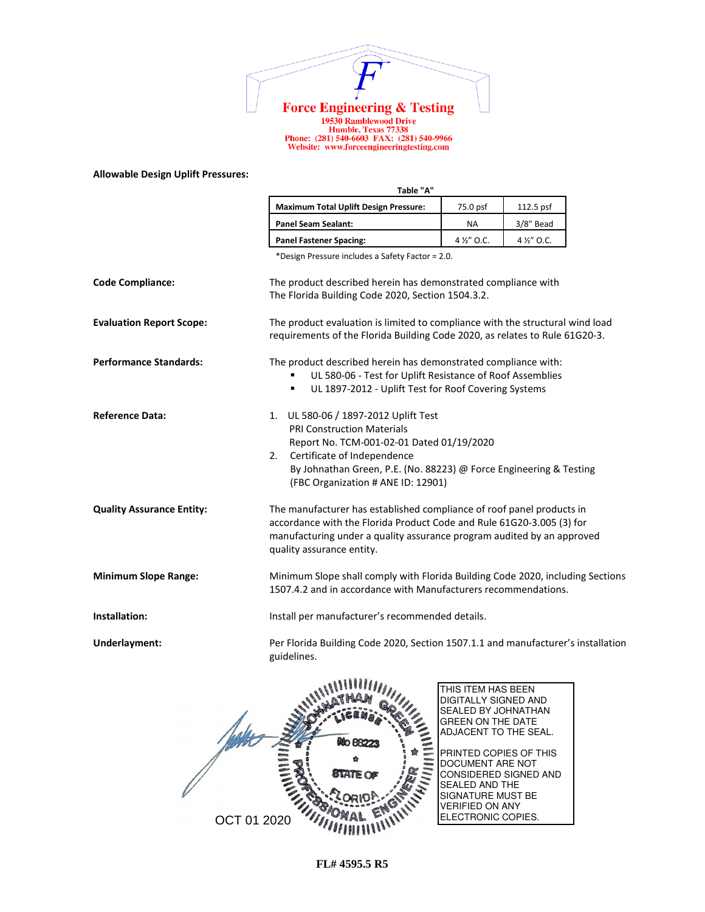

1978 Ramblewood Drive<br>
19530 Ramblewood Drive<br>
Humble, Texas 77338<br>
Phone: (281) 540-6603 FAX: (281) 540-9966<br>
Website: www.forceengineeringtesting.com

## **Allowable Design Uplift Pressures:**

|                                  | Table "A"                                                                                                                                                                                                                                                                  |             |             |  |  |
|----------------------------------|----------------------------------------------------------------------------------------------------------------------------------------------------------------------------------------------------------------------------------------------------------------------------|-------------|-------------|--|--|
|                                  | <b>Maximum Total Uplift Design Pressure:</b>                                                                                                                                                                                                                               | 75.0 psf    | 112.5 psf   |  |  |
|                                  | <b>Panel Seam Sealant:</b>                                                                                                                                                                                                                                                 | <b>NA</b>   | 3/8" Bead   |  |  |
|                                  | <b>Panel Fastener Spacing:</b>                                                                                                                                                                                                                                             | 4 1/2" O.C. | 4 1/2" O.C. |  |  |
|                                  | *Design Pressure includes a Safety Factor = 2.0.                                                                                                                                                                                                                           |             |             |  |  |
| <b>Code Compliance:</b>          | The product described herein has demonstrated compliance with<br>The Florida Building Code 2020, Section 1504.3.2.                                                                                                                                                         |             |             |  |  |
| <b>Evaluation Report Scope:</b>  | The product evaluation is limited to compliance with the structural wind load<br>requirements of the Florida Building Code 2020, as relates to Rule 61G20-3.                                                                                                               |             |             |  |  |
| <b>Performance Standards:</b>    | The product described herein has demonstrated compliance with:<br>UL 580-06 - Test for Uplift Resistance of Roof Assemblies<br>UL 1897-2012 - Uplift Test for Roof Covering Systems<br>٠                                                                                   |             |             |  |  |
| <b>Reference Data:</b>           | UL 580-06 / 1897-2012 Uplift Test<br>1.<br><b>PRI Construction Materials</b><br>Report No. TCM-001-02-01 Dated 01/19/2020<br>Certificate of Independence<br>2.<br>By Johnathan Green, P.E. (No. 88223) @ Force Engineering & Testing<br>(FBC Organization # ANE ID: 12901) |             |             |  |  |
| <b>Quality Assurance Entity:</b> | The manufacturer has established compliance of roof panel products in<br>accordance with the Florida Product Code and Rule 61G20-3.005 (3) for<br>manufacturing under a quality assurance program audited by an approved<br>quality assurance entity.                      |             |             |  |  |
| <b>Minimum Slope Range:</b>      | Minimum Slope shall comply with Florida Building Code 2020, including Sections<br>1507.4.2 and in accordance with Manufacturers recommendations.                                                                                                                           |             |             |  |  |
| Installation:                    | Install per manufacturer's recommended details.                                                                                                                                                                                                                            |             |             |  |  |
| Underlayment:                    | Per Florida Building Code 2020, Section 1507.1.1 and manufacturer's installation<br>guidelines.                                                                                                                                                                            |             |             |  |  |
|                                  | 0.088888888                                                                                                                                                                                                                                                                |             |             |  |  |

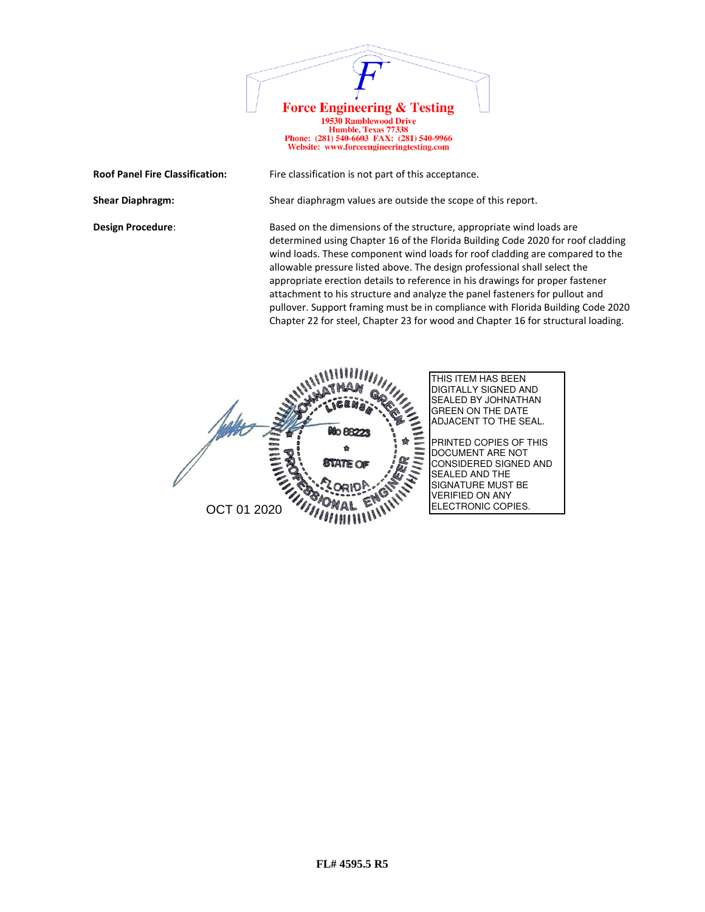

Website: www.forceengineeringtesting.com

**Roof Panel Fire Classification:** Fire classification is not part of this acceptance.

**Shear Diaphragm:** Shear diaphragm values are outside the scope of this report.

**Design Procedure:** Based on the dimensions of the structure, appropriate wind loads are determined using Chapter 16 of the Florida Building Code 2020 for roof cladding wind loads. These component wind loads for roof cladding are compared to the allowable pressure listed above. The design professional shall select the appropriate erection details to reference in his drawings for proper fastener attachment to his structure and analyze the panel fasteners for pullout and pullover. Support framing must be in compliance with Florida Building Code 2020 Chapter 22 for steel, Chapter 23 for wood and Chapter 16 for structural loading.